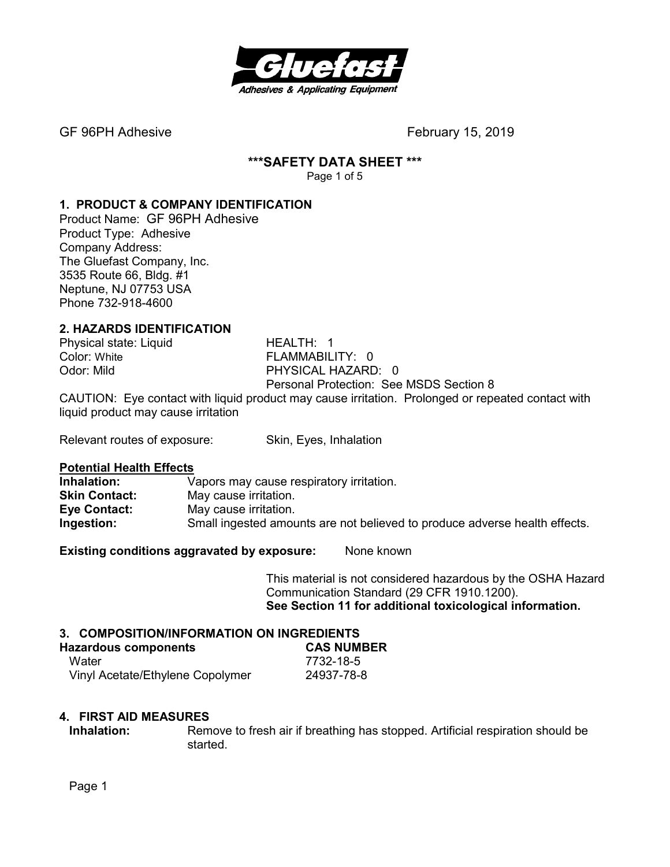

# **\*\*\*SAFETY DATA SHEET \*\*\***

Page 1 of 5

# **1. PRODUCT & COMPANY IDENTIFICATION**

Product Name: GF 96PH Adhesive Product Type: Adhesive Company Address: The Gluefast Company, Inc. 3535 Route 66, Bldg. #1 Neptune, NJ 07753 USA Phone 732-918-4600

# **2. HAZARDS IDENTIFICATION**

Physical state: Liquid HEALTH: 1

Color: White **FLAMMABILITY: 0** Odor: Mild PHYSICAL HAZARD: 0 Personal Protection: See MSDS Section 8

CAUTION: Eye contact with liquid product may cause irritation. Prolonged or repeated contact with liquid product may cause irritation

Relevant routes of exposure: Skin, Eyes, Inhalation

# **Potential Health Effects**

Vapors may cause respiratory irritation. **Skin Contact:** May cause irritation. **Eye Contact:** May cause irritation. **Ingestion:** Small ingested amounts are not believed to produce adverse health effects.

**Existing conditions aggravated by exposure:** None known

This material is not considered hazardous by the OSHA Hazard Communication Standard (29 CFR 1910.1200). **See Section 11 for additional toxicological information.** 

#### **3. COMPOSITION/INFORMATION ON INGREDIENTS**

| <b>Hazardous components</b>      | <b>CAS NUMBER</b> |
|----------------------------------|-------------------|
| Water                            | 7732-18-5         |
| Vinyl Acetate/Ethylene Copolymer | 24937-78-8        |

#### **4. FIRST AID MEASURES**

**Inhalation:** Remove to fresh air if breathing has stopped. Artificial respiration should be started.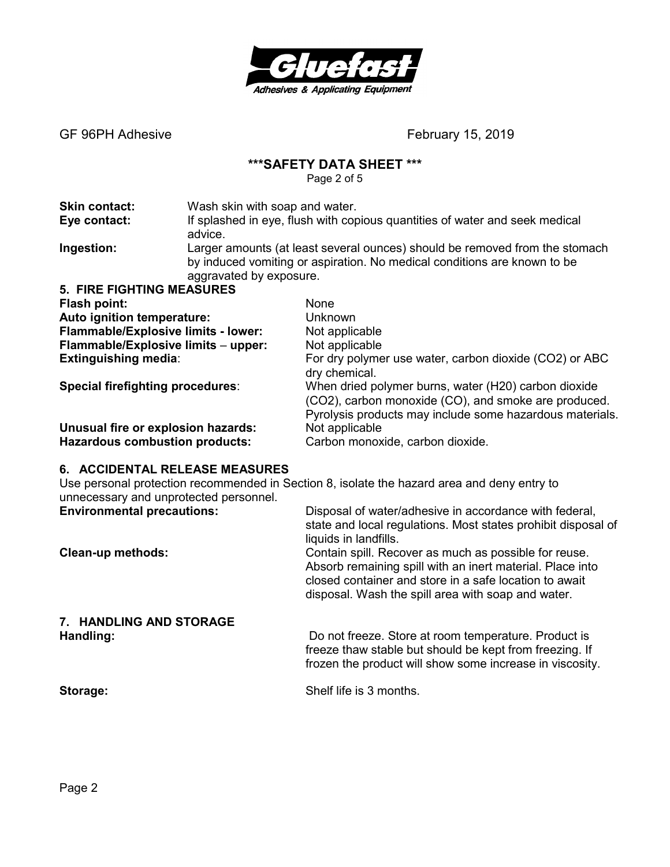

# **\*\*\*SAFETY DATA SHEET \*\*\***

Page 2 of 5

| <b>Skin contact:</b>                    | Wash skin with soap and water.                                                                                                                                                     |                                                                                                                                                                          |  |
|-----------------------------------------|------------------------------------------------------------------------------------------------------------------------------------------------------------------------------------|--------------------------------------------------------------------------------------------------------------------------------------------------------------------------|--|
| Eye contact:                            | If splashed in eye, flush with copious quantities of water and seek medical<br>advice.                                                                                             |                                                                                                                                                                          |  |
| Ingestion:                              | Larger amounts (at least several ounces) should be removed from the stomach<br>by induced vomiting or aspiration. No medical conditions are known to be<br>aggravated by exposure. |                                                                                                                                                                          |  |
| <b>5. FIRE FIGHTING MEASURES</b>        |                                                                                                                                                                                    |                                                                                                                                                                          |  |
| Flash point:                            | None                                                                                                                                                                               |                                                                                                                                                                          |  |
| Auto ignition temperature:              |                                                                                                                                                                                    | Unknown                                                                                                                                                                  |  |
| Flammable/Explosive limits - lower:     |                                                                                                                                                                                    | Not applicable                                                                                                                                                           |  |
| Flammable/Explosive limits - upper:     |                                                                                                                                                                                    | Not applicable                                                                                                                                                           |  |
| <b>Extinguishing media:</b>             |                                                                                                                                                                                    | For dry polymer use water, carbon dioxide (CO2) or ABC<br>dry chemical.                                                                                                  |  |
| <b>Special firefighting procedures:</b> |                                                                                                                                                                                    | When dried polymer burns, water (H20) carbon dioxide<br>(CO2), carbon monoxide (CO), and smoke are produced.<br>Pyrolysis products may include some hazardous materials. |  |
| Unusual fire or explosion hazards:      |                                                                                                                                                                                    | Not applicable                                                                                                                                                           |  |
| <b>Hazardous combustion products:</b>   |                                                                                                                                                                                    | Carbon monoxide, carbon dioxide.                                                                                                                                         |  |

#### **6. ACCIDENTAL RELEASE MEASURES**

Use personal protection recommended in Section 8, isolate the hazard area and deny entry to unnecessary and unprotected personnel.

| <b>Environmental precautions:</b> | Disposal of water/adhesive in accordance with federal,<br>state and local regulations. Most states prohibit disposal of<br>liquids in landfills.                                                                                   |
|-----------------------------------|------------------------------------------------------------------------------------------------------------------------------------------------------------------------------------------------------------------------------------|
| Clean-up methods:                 | Contain spill. Recover as much as possible for reuse.<br>Absorb remaining spill with an inert material. Place into<br>closed container and store in a safe location to await<br>disposal. Wash the spill area with soap and water. |
| 7. HANDLING AND STORAGE           |                                                                                                                                                                                                                                    |
| Handling:                         | Do not freeze. Store at room temperature. Product is<br>freeze thaw stable but should be kept from freezing. If<br>frozen the product will show some increase in viscosity.                                                        |

**Storage: Storage: Shelf life is 3 months.**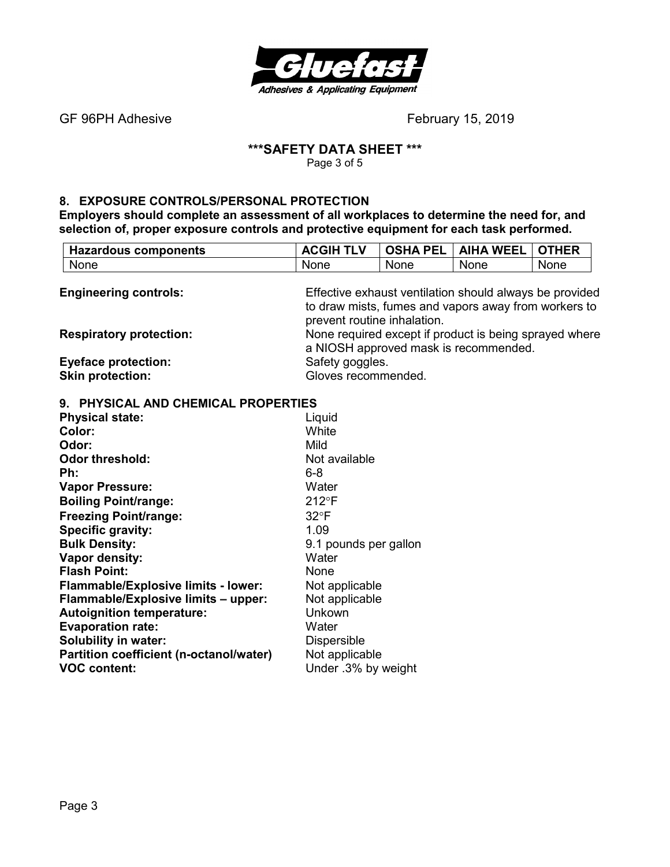

# **\*\*\*SAFETY DATA SHEET \*\*\***

Page 3 of 5

#### **8. EXPOSURE CONTROLS/PERSONAL PROTECTION**

**Partition coefficient (n-octanol/water)** Not applicable<br>**VOC content:** Under .3% by \

**Employers should complete an assessment of all workplaces to determine the need for, and selection of, proper exposure controls and protective equipment for each task performed.** 

| <b>Hazardous components</b>         | <b>ACGIH TLV</b>                                                                                                                               | <b>OSHA PEL</b> | <b>AIHA WEEL</b> | <b>OTHER</b> |
|-------------------------------------|------------------------------------------------------------------------------------------------------------------------------------------------|-----------------|------------------|--------------|
| None                                | None                                                                                                                                           | <b>None</b>     | None             | None         |
| <b>Engineering controls:</b>        | Effective exhaust ventilation should always be provided<br>to draw mists, fumes and vapors away from workers to<br>prevent routine inhalation. |                 |                  |              |
| <b>Respiratory protection:</b>      | None required except if product is being sprayed where<br>a NIOSH approved mask is recommended.                                                |                 |                  |              |
| <b>Eyeface protection:</b>          | Safety goggles.                                                                                                                                |                 |                  |              |
| <b>Skin protection:</b>             | Gloves recommended.                                                                                                                            |                 |                  |              |
| 9. PHYSICAL AND CHEMICAL PROPERTIES |                                                                                                                                                |                 |                  |              |
| <b>Physical state:</b>              | Liquid                                                                                                                                         |                 |                  |              |
| Color:                              | White                                                                                                                                          |                 |                  |              |
| Odor:                               | Mild                                                                                                                                           |                 |                  |              |
| <b>Odor threshold:</b>              | Not available                                                                                                                                  |                 |                  |              |
| Ph:                                 | $6 - 8$                                                                                                                                        |                 |                  |              |
| <b>Vapor Pressure:</b>              | Water                                                                                                                                          |                 |                  |              |
| <b>Boiling Point/range:</b>         | $212^{\circ}F$                                                                                                                                 |                 |                  |              |
| <b>Freezing Point/range:</b>        | $32^{\circ}F$                                                                                                                                  |                 |                  |              |
| <b>Specific gravity:</b>            | 1.09                                                                                                                                           |                 |                  |              |
| <b>Bulk Density:</b>                | 9.1 pounds per gallon                                                                                                                          |                 |                  |              |
| Vapor density:                      | Water                                                                                                                                          |                 |                  |              |
| <b>Flash Point:</b>                 | None                                                                                                                                           |                 |                  |              |
| Flammable/Explosive limits - lower: | Not applicable                                                                                                                                 |                 |                  |              |
| Flammable/Explosive limits - upper: | Not applicable                                                                                                                                 |                 |                  |              |
| <b>Autoignition temperature:</b>    | Unkown                                                                                                                                         |                 |                  |              |
| <b>Evaporation rate:</b>            | Water                                                                                                                                          |                 |                  |              |
| <b>Solubility in water:</b>         | <b>Dispersible</b>                                                                                                                             |                 |                  |              |

Under .3% by weight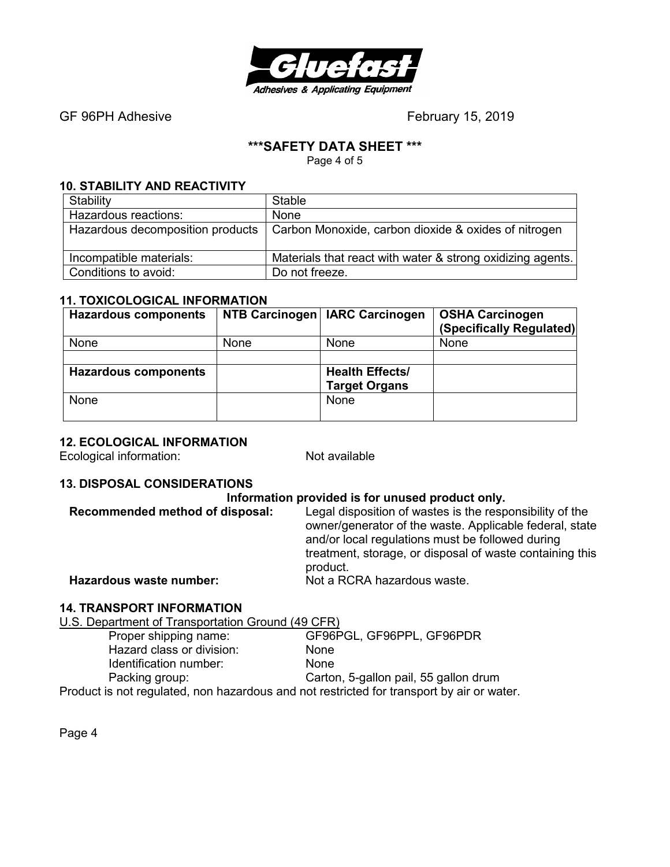

# **\*\*\*SAFETY DATA SHEET \*\*\***

Page 4 of 5

#### **10. STABILITY AND REACTIVITY**

| Stability               | Stable                                                                                  |
|-------------------------|-----------------------------------------------------------------------------------------|
| Hazardous reactions:    | None                                                                                    |
|                         | Hazardous decomposition products   Carbon Monoxide, carbon dioxide & oxides of nitrogen |
| Incompatible materials: | Materials that react with water & strong oxidizing agents.                              |
| Conditions to avoid:    | Do not freeze.                                                                          |

# **11. TOXICOLOGICAL INFORMATION**

| <b>Hazardous components</b> |      | NTB Carcinogen   IARC Carcinogen | <b>OSHA Carcinogen</b><br>(Specifically Regulated) |
|-----------------------------|------|----------------------------------|----------------------------------------------------|
| None                        | None | None                             | None                                               |
|                             |      |                                  |                                                    |
| <b>Hazardous components</b> |      | <b>Health Effects/</b>           |                                                    |
|                             |      | <b>Target Organs</b>             |                                                    |
| None                        |      | None                             |                                                    |
|                             |      |                                  |                                                    |

#### **12. ECOLOGICAL INFORMATION**

Ecological information: Not available

# **13. DISPOSAL CONSIDERATIONS**

#### **Information provided is for unused product only.**

| Recommended method of disposal: | Legal disposition of wastes is the responsibility of the<br>owner/generator of the waste. Applicable federal, state<br>and/or local regulations must be followed during<br>treatment, storage, or disposal of waste containing this<br>product. |
|---------------------------------|-------------------------------------------------------------------------------------------------------------------------------------------------------------------------------------------------------------------------------------------------|
| Hazardous waste number:         | Not a RCRA hazardous waste.                                                                                                                                                                                                                     |
|                                 |                                                                                                                                                                                                                                                 |

# **14. TRANSPORT INFORMATION**

U.S. Department of Transportation Ground (49 CFR)

| Proper shipping name:                                                                     | GF96PGL, GF96PPL, GF96PDR             |
|-------------------------------------------------------------------------------------------|---------------------------------------|
| Hazard class or division:                                                                 | <b>None</b>                           |
| Identification number:                                                                    | <b>None</b>                           |
| Packing group:                                                                            | Carton, 5-gallon pail, 55 gallon drum |
| Product is not regulated, non hazardous and not restricted for transport by air or water. |                                       |

Page 4